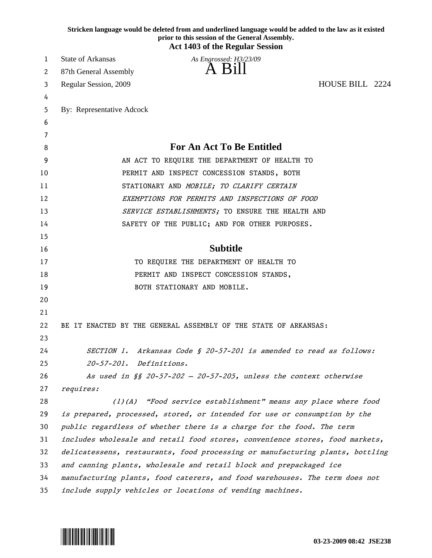|    | Stricken language would be deleted from and underlined language would be added to the law as it existed<br>prior to this session of the General Assembly.<br><b>Act 1403 of the Regular Session</b> |  |
|----|-----------------------------------------------------------------------------------------------------------------------------------------------------------------------------------------------------|--|
| 1  | <b>State of Arkansas</b><br>As Engrossed: H3/23/09                                                                                                                                                  |  |
| 2  | 87th General Assembly                                                                                                                                                                               |  |
| 3  | HOUSE BILL 2224<br>Regular Session, 2009                                                                                                                                                            |  |
| 4  |                                                                                                                                                                                                     |  |
| 5  | By: Representative Adcock                                                                                                                                                                           |  |
| 6  |                                                                                                                                                                                                     |  |
| 7  |                                                                                                                                                                                                     |  |
| 8  | <b>For An Act To Be Entitled</b>                                                                                                                                                                    |  |
| 9  | AN ACT TO REQUIRE THE DEPARTMENT OF HEALTH TO                                                                                                                                                       |  |
| 10 | PERMIT AND INSPECT CONCESSION STANDS, BOTH                                                                                                                                                          |  |
| 11 | STATIONARY AND MOBILE; TO CLARIFY CERTAIN                                                                                                                                                           |  |
| 12 | EXEMPTIONS FOR PERMITS AND INSPECTIONS OF FOOD                                                                                                                                                      |  |
| 13 | SERVICE ESTABLISHMENTS; TO ENSURE THE HEALTH AND                                                                                                                                                    |  |
| 14 | SAFETY OF THE PUBLIC; AND FOR OTHER PURPOSES.                                                                                                                                                       |  |
| 15 |                                                                                                                                                                                                     |  |
| 16 | <b>Subtitle</b>                                                                                                                                                                                     |  |
| 17 | TO REQUIRE THE DEPARTMENT OF HEALTH TO                                                                                                                                                              |  |
| 18 | PERMIT AND INSPECT CONCESSION STANDS,                                                                                                                                                               |  |
| 19 | BOTH STATIONARY AND MOBILE.                                                                                                                                                                         |  |
| 20 |                                                                                                                                                                                                     |  |
| 21 |                                                                                                                                                                                                     |  |
| 22 | BE IT ENACTED BY THE GENERAL ASSEMBLY OF THE STATE OF ARKANSAS:                                                                                                                                     |  |
| 23 |                                                                                                                                                                                                     |  |
| 24 | Arkansas Code § 20-57-201 is amended to read as follows:<br><i>SECTION 1.</i>                                                                                                                       |  |
| 25 | <i>Definitions.</i><br>$20 - 57 - 201$ .                                                                                                                                                            |  |
| 26 | As used in $\S$ 20-57-202 - 20-57-205, unless the context otherwise                                                                                                                                 |  |
| 27 | requires:                                                                                                                                                                                           |  |
| 28 | (1)(A) "Food service establishment" means any place where food                                                                                                                                      |  |
| 29 | is prepared, processed, stored, or intended for use or consumption by the                                                                                                                           |  |
| 30 | public regardless of whether there is a charge for the food. The term                                                                                                                               |  |
| 31 | includes wholesale and retail food stores, convenience stores, food markets,                                                                                                                        |  |
| 32 | delicatessens, restaurants, food processing or manufacturing plants, bottling                                                                                                                       |  |
| 33 | and canning plants, wholesale and retail block and prepackaged ice                                                                                                                                  |  |
| 34 | manufacturing plants, food caterers, and food warehouses. The term does not                                                                                                                         |  |
| 35 | include supply vehicles or locations of vending machines.                                                                                                                                           |  |

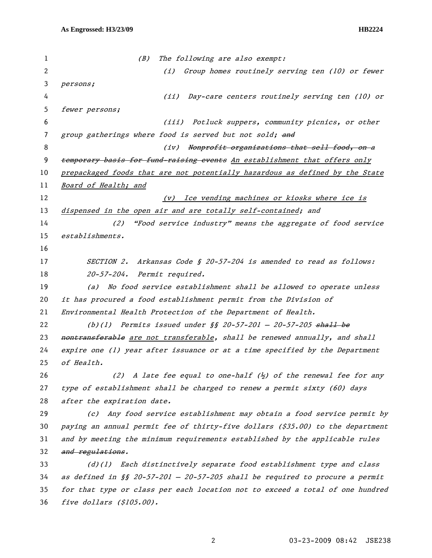| 1  | (B)<br>The following are also exempt:                                                     |
|----|-------------------------------------------------------------------------------------------|
| 2  | Group homes routinely serving ten (10) or fewer<br>(i)                                    |
| 3  | persons;                                                                                  |
| 4  | Day-care centers routinely serving ten (10) or<br>(iii)                                   |
| 5  | fewer persons;                                                                            |
| 6  | (iii) Potluck suppers, community picnics, or other                                        |
| 7  | group gatherings where food is served but not sold; and                                   |
| 8  | Nonprofit organizations that sell food, on a<br>(iv)                                      |
| 9  | temporary basis for fund-raising events An establishment that offers only                 |
| 10 | prepackaged foods that are not potentially hazardous as defined by the State              |
| 11 | Board of Health; and                                                                      |
| 12 | Ice vending machines or kiosks where ice is<br>(v)                                        |
| 13 | dispensed in the open air and are totally self-contained; and                             |
| 14 | "Food service industry" means the aggregate of food service<br>(2)                        |
| 15 | establishments.                                                                           |
| 16 |                                                                                           |
| 17 | Arkansas Code § 20-57-204 is amended to read as follows:<br><i>SECTION 2.</i>             |
| 18 | 20-57-204. Permit required.                                                               |
| 19 | No food service establishment shall be allowed to operate unless<br>(a)                   |
| 20 | it has procured a food establishment permit from the Division of                          |
| 21 | Environmental Health Protection of the Department of Health.                              |
| 22 | (b)(1) Permits issued under $\frac{1}{2}$ 20-57-201 - 20-57-205 shall be                  |
| 23 | nontransferable are not transferable, shall be renewed annually, and shall                |
| 24 | expire one (1) year after issuance or at a time specified by the Department               |
| 25 | of Health.                                                                                |
| 26 | (2) A late fee equal to one-half $\langle \frac{1}{2} \rangle$ of the renewal fee for any |
| 27 | type of establishment shall be charged to renew a permit sixty (60) days                  |
| 28 | after the expiration date.                                                                |
| 29 | Any food service establishment may obtain a food service permit by<br>(c)                 |
| 30 | paying an annual permit fee of thirty-five dollars (\$35.00) to the department            |
| 31 | and by meeting the minimum requirements established by the applicable rules               |
| 32 | and regulations.                                                                          |
| 33 | (d)(1) Each distinctively separate food establishment type and class                      |
| 34 | as defined in §§ 20-57-201 - 20-57-205 shall be required to procure a permit              |
| 35 | for that type or class per each location not to exceed a total of one hundred             |
| 36 | five dollars $(\$105.00)$ .                                                               |